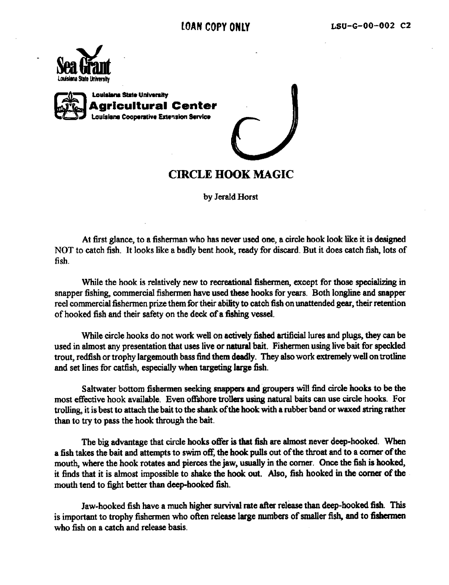



## **CIRCLE HOOK MAGIC**

by Jerald Horst

At first glance, to a fisherman who has never used one, a circle hook look like it is designed NOT to catch fish. It looks like a badly bent hook, ready for discard. But it does catch fish, lots of fish,

While the hook is relatively new to recreational fishermen, except for those specializing in snapper fishing, commercial fishermen have used these hooks for years. Both longline and snapper reel commercial fishermen prize them for their abihty to catch fish on unattended gear, their retention of hooked fish and their safety on the deck of a fishing vessel.

While circle hooks do not work well on actively fished artificial lures and plugs, they can be used in almost any presentation that uses live or natural bait. Fishermen using live bait for speckled trout, redfish or trophy largemouth bass find them deadly. They also work extremely well on trotline and set lines for catfish, especially when targeting large fish.

Saltwater bottom fishermen seeking snappers and groupers will find circle hooks to be the most effective hook available. Even offshore trollers using natural baits can use circle hooks. For trolling, it is best to attach the bait to the shank of the hook with a rubber band or waxed string rather than to try to pass the hook through the bait.

The big advantage that circle hooks offer is that fish are almost never deep-hooked. When a fish takes the bait and attempts to swim off, the hook pulls out of the throat and to a corner of the mouth, where the hook rotates and pierces the jaw, usually in the corner. Once the fish is hooked, it finds that it is almost impossible to shake the hook out. Also, fish hooked in the corner of the mouth tend to 6ght better than deep-hooked fish.

Jaw-hooked fish have a much higher survival rate after release than deep-hooked fish. This is important to trophy fishermen who often release large numbers of smaller fish, and to fishermen who fish on a catch and release basis.